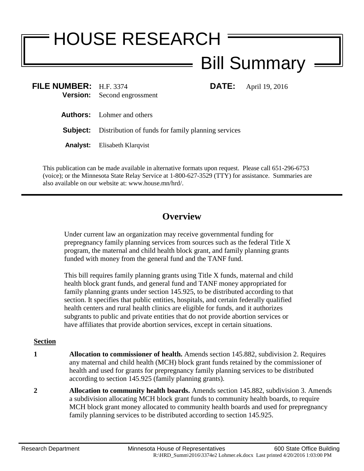# HOUSE RESEARCH Bill Summary

**FILE:** April 19, 2016

| FILE NUMBER: H.F. 3374 |                                    |
|------------------------|------------------------------------|
|                        | <b>Version:</b> Second engrossment |
|                        |                                    |

**Authors:** Lohmer and others

**Subject:** Distribution of funds for family planning services

**Analyst:** Elisabeth Klarqvist

This publication can be made available in alternative formats upon request. Please call 651-296-6753 (voice); or the Minnesota State Relay Service at 1-800-627-3529 (TTY) for assistance. Summaries are also available on our website at: www.house.mn/hrd/.

## **Overview**

Under current law an organization may receive governmental funding for prepregnancy family planning services from sources such as the federal Title X program, the maternal and child health block grant, and family planning grants funded with money from the general fund and the TANF fund.

This bill requires family planning grants using Title X funds, maternal and child health block grant funds, and general fund and TANF money appropriated for family planning grants under section 145.925, to be distributed according to that section. It specifies that public entities, hospitals, and certain federally qualified health centers and rural health clinics are eligible for funds, and it authorizes subgrants to public and private entities that do not provide abortion services or have affiliates that provide abortion services, except in certain situations.

#### **Section**

- **1 Allocation to commissioner of health.** Amends section 145.882, subdivision 2. Requires any maternal and child health (MCH) block grant funds retained by the commissioner of health and used for grants for prepregnancy family planning services to be distributed according to section 145.925 (family planning grants).
- **2 Allocation to community health boards.** Amends section 145.882, subdivision 3. Amends a subdivision allocating MCH block grant funds to community health boards, to require MCH block grant money allocated to community health boards and used for prepregnancy family planning services to be distributed according to section 145.925.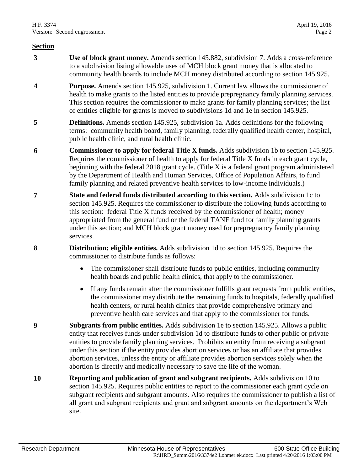#### **Section**

- **3 Use of block grant money.** Amends section 145.882, subdivision 7. Adds a cross-reference to a subdivision listing allowable uses of MCH block grant money that is allocated to community health boards to include MCH money distributed according to section 145.925.
- **4 Purpose.** Amends section 145.925, subdivision 1. Current law allows the commissioner of health to make grants to the listed entities to provide prepregnancy family planning services. This section requires the commissioner to make grants for family planning services; the list of entities eligible for grants is moved to subdivisions 1d and 1e in section 145.925.
- **5 Definitions.** Amends section 145.925, subdivision 1a. Adds definitions for the following terms: community health board, family planning, federally qualified health center, hospital, public health clinic, and rural health clinic.
- **6 Commissioner to apply for federal Title X funds.** Adds subdivision 1b to section 145.925. Requires the commissioner of health to apply for federal Title X funds in each grant cycle, beginning with the federal 2018 grant cycle. (Title X is a federal grant program administered by the Department of Health and Human Services, Office of Population Affairs, to fund family planning and related preventive health services to low-income individuals.)
- **7 State and federal funds distributed according to this section.** Adds subdivision 1c to section 145.925. Requires the commissioner to distribute the following funds according to this section: federal Title X funds received by the commissioner of health; money appropriated from the general fund or the federal TANF fund for family planning grants under this section; and MCH block grant money used for prepregnancy family planning services.
- **8 Distribution; eligible entities.** Adds subdivision 1d to section 145.925. Requires the commissioner to distribute funds as follows:
	- The commissioner shall distribute funds to public entities, including community health boards and public health clinics, that apply to the commissioner.
	- If any funds remain after the commissioner fulfills grant requests from public entities, the commissioner may distribute the remaining funds to hospitals, federally qualified health centers, or rural health clinics that provide comprehensive primary and preventive health care services and that apply to the commissioner for funds.
- **9 Subgrants from public entities.** Adds subdivision 1e to section 145.925. Allows a public entity that receives funds under subdivision 1d to distribute funds to other public or private entities to provide family planning services. Prohibits an entity from receiving a subgrant under this section if the entity provides abortion services or has an affiliate that provides abortion services, unless the entity or affiliate provides abortion services solely when the abortion is directly and medically necessary to save the life of the woman.
- **10 Reporting and publication of grant and subgrant recipients.** Adds subdivision 10 to section 145.925. Requires public entities to report to the commissioner each grant cycle on subgrant recipients and subgrant amounts. Also requires the commissioner to publish a list of all grant and subgrant recipients and grant and subgrant amounts on the department's Web site.